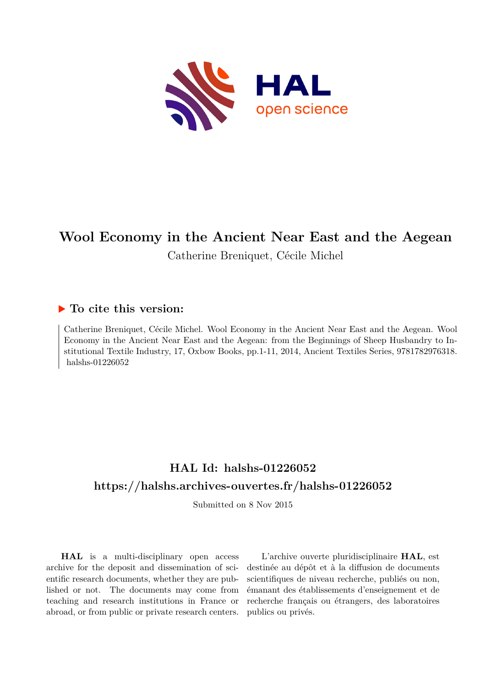

# **Wool Economy in the Ancient Near East and the Aegean**

Catherine Breniquet, Cécile Michel

### **To cite this version:**

Catherine Breniquet, Cécile Michel. Wool Economy in the Ancient Near East and the Aegean. Wool Economy in the Ancient Near East and the Aegean: from the Beginnings of Sheep Husbandry to Institutional Textile Industry, 17, Oxbow Books, pp.1-11, 2014, Ancient Textiles Series, 9781782976318. halshs- $01226052$ 

## **HAL Id: halshs-01226052 <https://halshs.archives-ouvertes.fr/halshs-01226052>**

Submitted on 8 Nov 2015

**HAL** is a multi-disciplinary open access archive for the deposit and dissemination of scientific research documents, whether they are published or not. The documents may come from teaching and research institutions in France or abroad, or from public or private research centers.

L'archive ouverte pluridisciplinaire **HAL**, est destinée au dépôt et à la diffusion de documents scientifiques de niveau recherche, publiés ou non, émanant des établissements d'enseignement et de recherche français ou étrangers, des laboratoires publics ou privés.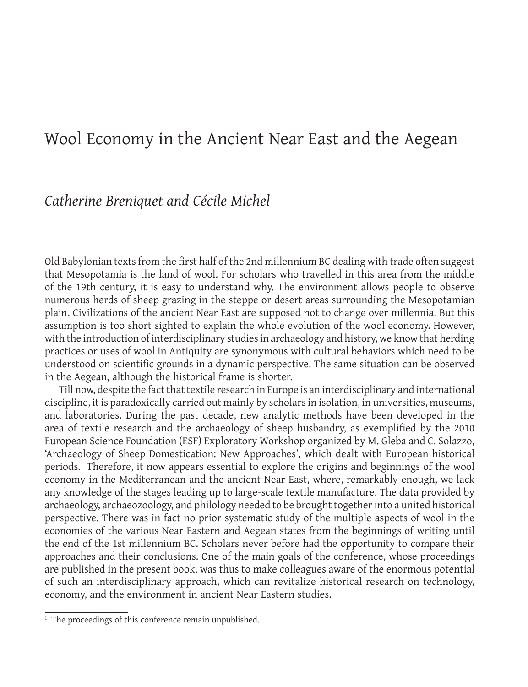## Wool Economy in the Ancient Near East and the Aegean

### *Catherine Breniquet and Cécile Michel*

Old Babylonian texts from the first half of the 2nd millennium BC dealing with trade often suggest that Mesopotamia is the land of wool. For scholars who travelled in this area from the middle of the 19th century, it is easy to understand why. The environment allows people to observe numerous herds of sheep grazing in the steppe or desert areas surrounding the Mesopotamian plain. Civilizations of the ancient Near East are supposed not to change over millennia. But this assumption is too short sighted to explain the whole evolution of the wool economy. However, with the introduction of interdisciplinary studies in archaeology and history, we know that herding practices or uses of wool in Antiquity are synonymous with cultural behaviors which need to be understood on scientific grounds in a dynamic perspective. The same situation can be observed in the Aegean, although the historical frame is shorter.

Till now, despite the fact that textile research in Europe is an interdisciplinary and international discipline, it is paradoxically carried out mainly by scholars in isolation, in universities, museums, and laboratories. During the past decade, new analytic methods have been developed in the area of textile research and the archaeology of sheep husbandry, as exemplified by the 2010 European Science Foundation (ESF) Exploratory Workshop organized by M. Gleba and C. Solazzo, 'Archaeology of Sheep Domestication: New Approaches', which dealt with European historical periods. Therefore, it now appears essential to explore the origins and beginnings of the wool economy in the Mediterranean and the ancient Near East, where, remarkably enough, we lack any knowledge of the stages leading up to large-scale textile manufacture. The data provided by archaeology, archaeozoology, and philology needed to be brought together into a united historical perspective. There was in fact no prior systematic study of the multiple aspects of wool in the economies of the various Near Eastern and Aegean states from the beginnings of writing until the end of the 1st millennium BC. Scholars never before had the opportunity to compare their approaches and their conclusions. One of the main goals of the conference, whose proceedings are published in the present book, was thus to make colleagues aware of the enormous potential of such an interdisciplinary approach, which can revitalize historical research on technology, economy, and the environment in ancient Near Eastern studies.

 $<sup>1</sup>$  The proceedings of this conference remain unpublished.</sup>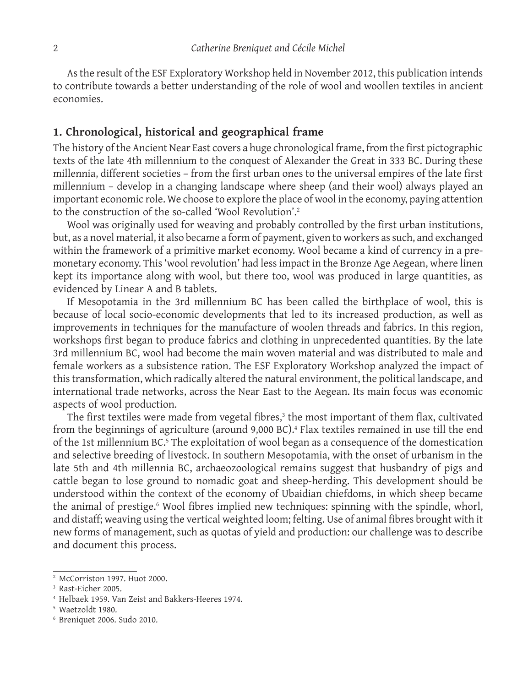As the result of the ESF Exploratory Workshop held in November 2012, this publication intends to contribute towards a better understanding of the role of wool and woollen textiles in ancient economies.

#### **1. Chronological, historical and geographical frame**

The history of the Ancient Near East covers a huge chronological frame, from the first pictographic texts of the late 4th millennium to the conquest of Alexander the Great in 333 BC. During these millennia, different societies – from the first urban ones to the universal empires of the late first millennium – develop in a changing landscape where sheep (and their wool) always played an important economic role. We choose to explore the place of wool in the economy, paying attention to the construction of the so-called 'Wool Revolution'.

Wool was originally used for weaving and probably controlled by the first urban institutions, but, as a novel material, it also became a form of payment, given to workers as such, and exchanged within the framework of a primitive market economy. Wool became a kind of currency in a premonetary economy. This 'wool revolution' had less impact in the Bronze Age Aegean, where linen kept its importance along with wool, but there too, wool was produced in large quantities, as evidenced by Linear A and B tablets.

If Mesopotamia in the 3rd millennium BC has been called the birthplace of wool, this is because of local socio-economic developments that led to its increased production, as well as improvements in techniques for the manufacture of woolen threads and fabrics. In this region, workshops first began to produce fabrics and clothing in unprecedented quantities. By the late 3rd millennium BC, wool had become the main woven material and was distributed to male and female workers as a subsistence ration. The ESF Exploratory Workshop analyzed the impact of this transformation, which radically altered the natural environment, the political landscape, and international trade networks, across the Near East to the Aegean. Its main focus was economic aspects of wool production.

The first textiles were made from vegetal fibres, $\delta$  the most important of them flax, cultivated from the beginnings of agriculture (around 9,000 BC).<sup>4</sup> Flax textiles remained in use till the end of the 1st millennium BC. The exploitation of wool began as a consequence of the domestication and selective breeding of livestock. In southern Mesopotamia, with the onset of urbanism in the late 5th and 4th millennia BC, archaeozoological remains suggest that husbandry of pigs and cattle began to lose ground to nomadic goat and sheep-herding. This development should be understood within the context of the economy of Ubaidian chiefdoms, in which sheep became the animal of prestige.<sup>6</sup> Wool fibres implied new techniques: spinning with the spindle, whorl, and distaff; weaving using the vertical weighted loom; felting. Use of animal fibres brought with it new forms of management, such as quotas of yield and production: our challenge was to describe and document this process.

<sup>&</sup>lt;sup>2</sup> McCorriston 1997. Huot 2000.

<sup>&</sup>lt;sup>3</sup> Rast-Eicher 2005.

<sup>&</sup>lt;sup>4</sup> Helbaek 1959. Van Zeist and Bakkers-Heeres 1974.

<sup>&</sup>lt;sup>5</sup> Waetzoldt 1980.

Breniquet 2006. Sudo 2010.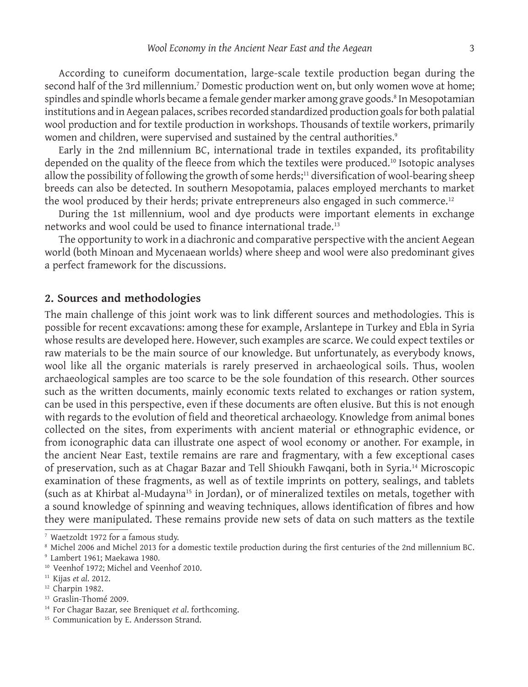According to cuneiform documentation, large-scale textile production began during the second half of the 3rd millennium.<sup>7</sup> Domestic production went on, but only women wove at home; spindles and spindle whorls became a female gender marker among grave goods.<sup>8</sup> In Mesopotamian institutions and in Aegean palaces, scribes recorded standardized production goals for both palatial wool production and for textile production in workshops. Thousands of textile workers, primarily women and children, were supervised and sustained by the central authorities.<sup>9</sup>

Early in the 2nd millennium BC, international trade in textiles expanded, its profitability depended on the quality of the fleece from which the textiles were produced.<sup>10</sup> Isotopic analyses allow the possibility of following the growth of some herds;<sup>11</sup> diversification of wool-bearing sheep breeds can also be detected. In southern Mesopotamia, palaces employed merchants to market the wool produced by their herds; private entrepreneurs also engaged in such commerce.<sup>12</sup>

During the 1st millennium, wool and dye products were important elements in exchange networks and wool could be used to finance international trade.<sup>13</sup>

The opportunity to work in a diachronic and comparative perspective with the ancient Aegean world (both Minoan and Mycenaean worlds) where sheep and wool were also predominant gives a perfect framework for the discussions.

#### **2. Sources and methodologies**

The main challenge of this joint work was to link different sources and methodologies. This is possible for recent excavations: among these for example, Arslantepe in Turkey and Ebla in Syria whose results are developed here. However, such examples are scarce. We could expect textiles or raw materials to be the main source of our knowledge. But unfortunately, as everybody knows, wool like all the organic materials is rarely preserved in archaeological soils. Thus, woolen archaeological samples are too scarce to be the sole foundation of this research. Other sources such as the written documents, mainly economic texts related to exchanges or ration system, can be used in this perspective, even if these documents are often elusive. But this is not enough with regards to the evolution of field and theoretical archaeology. Knowledge from animal bones collected on the sites, from experiments with ancient material or ethnographic evidence, or from iconographic data can illustrate one aspect of wool economy or another. For example, in the ancient Near East, textile remains are rare and fragmentary, with a few exceptional cases of preservation, such as at Chagar Bazar and Tell Shioukh Fawqani, both in Syria.14 Microscopic examination of these fragments, as well as of textile imprints on pottery, sealings, and tablets (such as at Khirbat al-Mudayna<sup>15</sup> in Jordan), or of mineralized textiles on metals, together with a sound knowledge of spinning and weaving techniques, allows identification of fibres and how they were manipulated. These remains provide new sets of data on such matters as the textile

Waetzoldt 1972 for a famous study.

<sup>&</sup>lt;sup>8</sup> Michel 2006 and Michel 2013 for a domestic textile production during the first centuries of the 2nd millennium BC.

Lambert 1961; Maekawa 1980.

<sup>10</sup> Veenhof 1972; Michel and Veenhof 2010.

<sup>11</sup> Kijas *et al*. 2012.

<sup>&</sup>lt;sup>12</sup> Charpin 1982.

<sup>&</sup>lt;sup>13</sup> Graslin-Thomé 2009.

<sup>14</sup> For Chagar Bazar, see Breniquet *et al*. forthcoming.

<sup>&</sup>lt;sup>15</sup> Communication by E. Andersson Strand.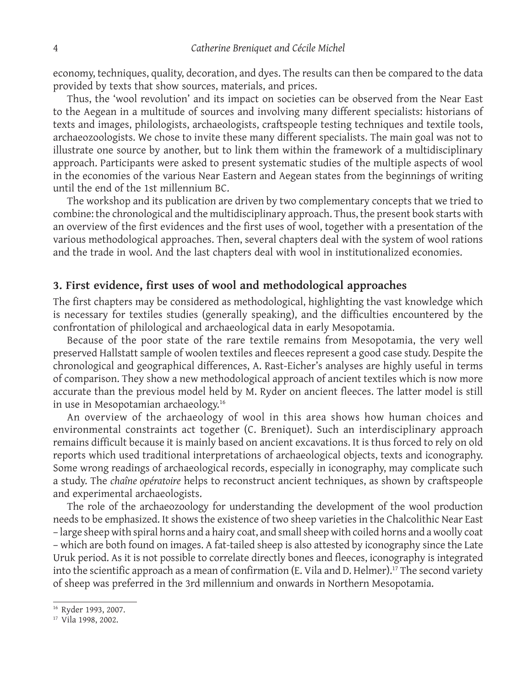economy, techniques, quality, decoration, and dyes. The results can then be compared to the data provided by texts that show sources, materials, and prices.

Thus, the 'wool revolution' and its impact on societies can be observed from the Near East to the Aegean in a multitude of sources and involving many different specialists: historians of texts and images, philologists, archaeologists, craftspeople testing techniques and textile tools, archaeozoologists. We chose to invite these many different specialists. The main goal was not to illustrate one source by another, but to link them within the framework of a multidisciplinary approach. Participants were asked to present systematic studies of the multiple aspects of wool in the economies of the various Near Eastern and Aegean states from the beginnings of writing until the end of the 1st millennium BC.

The workshop and its publication are driven by two complementary concepts that we tried to combine: the chronological and the multidisciplinary approach. Thus, the present book starts with an overview of the first evidences and the first uses of wool, together with a presentation of the various methodological approaches. Then, several chapters deal with the system of wool rations and the trade in wool. And the last chapters deal with wool in institutionalized economies.

#### **3. First evidence, first uses of wool and methodological approaches**

The first chapters may be considered as methodological, highlighting the vast knowledge which is necessary for textiles studies (generally speaking), and the difficulties encountered by the confrontation of philological and archaeological data in early Mesopotamia.

Because of the poor state of the rare textile remains from Mesopotamia, the very well preserved Hallstatt sample of woolen textiles and fleeces represent a good case study. Despite the chronological and geographical differences, A. Rast-Eicher's analyses are highly useful in terms of comparison. They show a new methodological approach of ancient textiles which is now more accurate than the previous model held by M. Ryder on ancient fleeces. The latter model is still in use in Mesopotamian archaeology.<sup>16</sup>

An overview of the archaeology of wool in this area shows how human choices and environmental constraints act together (C. Breniquet). Such an interdisciplinary approach remains difficult because it is mainly based on ancient excavations. It is thus forced to rely on old reports which used traditional interpretations of archaeological objects, texts and iconography. Some wrong readings of archaeological records, especially in iconography, may complicate such a study. The *chaîne opératoire* helps to reconstruct ancient techniques, as shown by craftspeople and experimental archaeologists.

The role of the archaeozoology for understanding the development of the wool production needs to be emphasized. It shows the existence of two sheep varieties in the Chalcolithic Near East – large sheep with spiral horns and a hairy coat, and small sheep with coiled horns and a woolly coat – which are both found on images. A fat-tailed sheep is also attested by iconography since the Late Uruk period. As it is not possible to correlate directly bones and fleeces, iconography is integrated into the scientific approach as a mean of confirmation (E. Vila and D. Helmer).17 The second variety of sheep was preferred in the 3rd millennium and onwards in Northern Mesopotamia.

<sup>16</sup> Ryder 1993, 2007.

<sup>17</sup> Vila 1998, 2002.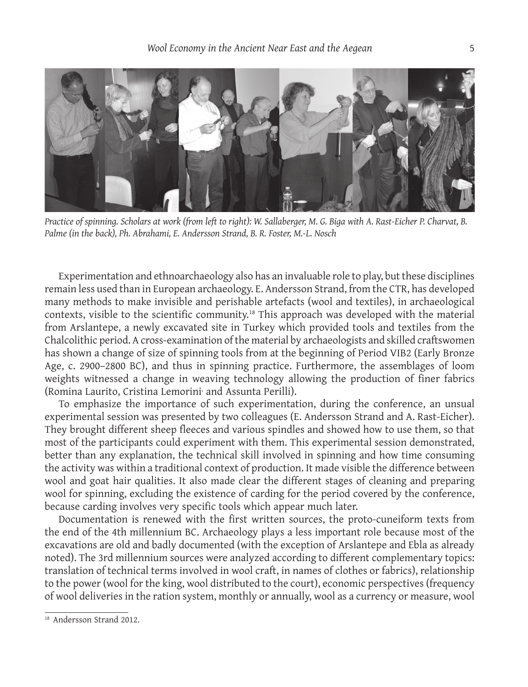



*Practice of spinning. Scholars at work (from left to right): W. Sallaberger, M. G. Biga with A. Rast-Eicher P. Charvat, B. Palme (in the back), Ph. Abrahami, E. Andersson Strand, B. R. Foster, M.-L. Nosch*

Experimentation and ethnoarchaeology also has an invaluable role to play, but these disciplines remain less used than in European archaeology. E. Andersson Strand, from the CTR, has developed many methods to make invisible and perishable artefacts (wool and textiles), in archaeological contexts, visible to the scientific community.18 This approach was developed with the material from Arslantepe, a newly excavated site in Turkey which provided tools and textiles from the Chalcolithic period. A cross-examination of the material by archaeologists and skilled craftswomen has shown a change of size of spinning tools from at the beginning of Period VIB2 (Early Bronze Age, c. 2900–2800 BC), and thus in spinning practice. Furthermore, the assemblages of loom weights witnessed a change in weaving technology allowing the production of finer fabrics (Romina Laurito, Cristina Lemorini, and Assunta Perilli).

To emphasize the importance of such experimentation, during the conference, an unsual experimental session was presented by two colleagues (E. Andersson Strand and A. Rast-Eicher). They brought different sheep fleeces and various spindles and showed how to use them, so that most of the participants could experiment with them. This experimental session demonstrated, better than any explanation, the technical skill involved in spinning and how time consuming the activity was within a traditional context of production. It made visible the difference between wool and goat hair qualities. It also made clear the different stages of cleaning and preparing wool for spinning, excluding the existence of carding for the period covered by the conference, because carding involves very specific tools which appear much later.

Documentation is renewed with the first written sources, the proto-cuneiform texts from the end of the 4th millennium BC. Archaeology plays a less important role because most of the excavations are old and badly documented (with the exception of Arslantepe and Ebla as already noted). The 3rd millennium sources were analyzed according to different complementary topics: translation of technical terms involved in wool craft, in names of clothes or fabrics), relationship to the power (wool for the king, wool distributed to the court), economic perspectives (frequency of wool deliveries in the ration system, monthly or annually, wool as a currency or measure, wool

<sup>&</sup>lt;sup>18</sup> Andersson Strand 2012.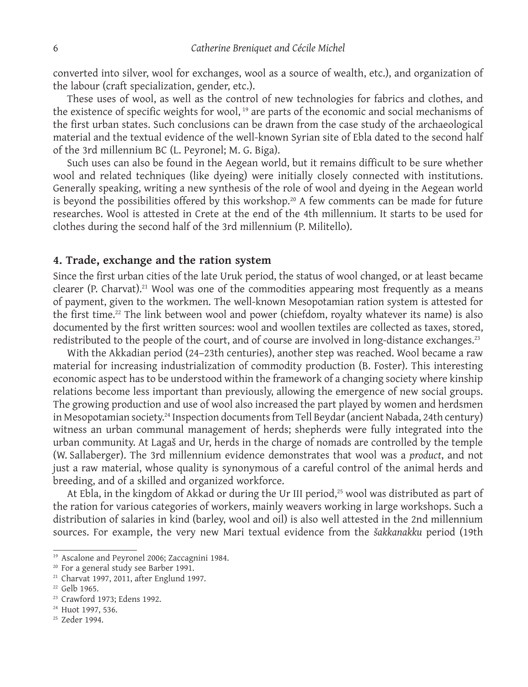converted into silver, wool for exchanges, wool as a source of wealth, etc.), and organization of the labour (craft specialization, gender, etc.).

These uses of wool, as well as the control of new technologies for fabrics and clothes, and the existence of specific weights for wool, 19 are parts of the economic and social mechanisms of the first urban states. Such conclusions can be drawn from the case study of the archaeological material and the textual evidence of the well-known Syrian site of Ebla dated to the second half of the 3rd millennium BC (L. Peyronel; M. G. Biga).

Such uses can also be found in the Aegean world, but it remains difficult to be sure whether wool and related techniques (like dyeing) were initially closely connected with institutions. Generally speaking, writing a new synthesis of the role of wool and dyeing in the Aegean world is beyond the possibilities offered by this workshop.<sup>20</sup> A few comments can be made for future researches. Wool is attested in Crete at the end of the 4th millennium. It starts to be used for clothes during the second half of the 3rd millennium (P. Militello).

#### **4. Trade, exchange and the ration system**

Since the first urban cities of the late Uruk period, the status of wool changed, or at least became clearer (P. Charvat).<sup>21</sup> Wool was one of the commodities appearing most frequently as a means of payment, given to the workmen. The well-known Mesopotamian ration system is attested for the first time.<sup>22</sup> The link between wool and power (chiefdom, royalty whatever its name) is also documented by the first written sources: wool and woollen textiles are collected as taxes, stored, redistributed to the people of the court, and of course are involved in long-distance exchanges.<sup>23</sup>

With the Akkadian period (24–23th centuries), another step was reached. Wool became a raw material for increasing industrialization of commodity production (B. Foster). This interesting economic aspect has to be understood within the framework of a changing society where kinship relations become less important than previously, allowing the emergence of new social groups. The growing production and use of wool also increased the part played by women and herdsmen in Mesopotamian society.24 Inspection documents from Tell Beydar (ancient Nabada, 24th century) witness an urban communal management of herds; shepherds were fully integrated into the urban community. At Lagaš and Ur, herds in the charge of nomads are controlled by the temple (W. Sallaberger). The 3rd millennium evidence demonstrates that wool was a *product*, and not just a raw material, whose quality is synonymous of a careful control of the animal herds and breeding, and of a skilled and organized workforce.

At Ebla, in the kingdom of Akkad or during the Ur III period,<sup>25</sup> wool was distributed as part of the ration for various categories of workers, mainly weavers working in large workshops. Such a distribution of salaries in kind (barley, wool and oil) is also well attested in the 2nd millennium sources. For example, the very new Mari textual evidence from the *šakkanakku* period (19th

<sup>&</sup>lt;sup>19</sup> Ascalone and Peyronel 2006; Zaccagnini 1984.

<sup>&</sup>lt;sup>20</sup> For a general study see Barber 1991.

<sup>21</sup> Charvat 1997, 2011, after Englund 1997.

<sup>22</sup> Gelb 1965.

<sup>23</sup> Crawford 1973; Edens 1992.

<sup>&</sup>lt;sup>24</sup> Huot 1997, 536.

<sup>25</sup> Zeder 1994.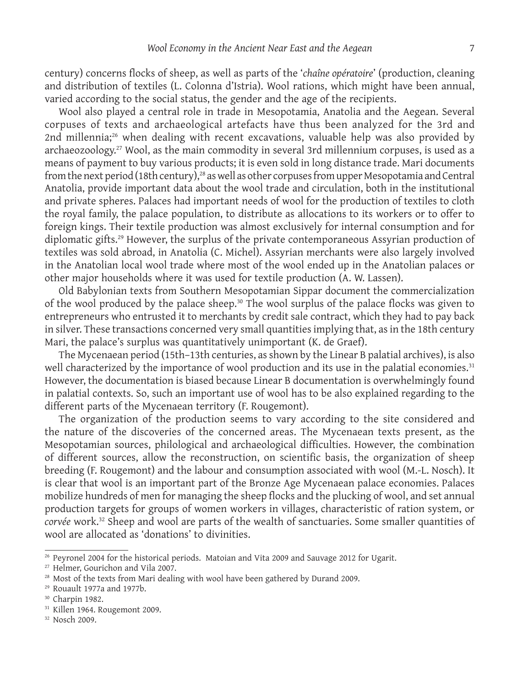century) concerns flocks of sheep, as well as parts of the '*chaîne opératoire*' (production, cleaning and distribution of textiles (L. Colonna d'Istria). Wool rations, which might have been annual, varied according to the social status, the gender and the age of the recipients.

Wool also played a central role in trade in Mesopotamia, Anatolia and the Aegean. Several corpuses of texts and archaeological artefacts have thus been analyzed for the 3rd and 2nd millennia; $26$  when dealing with recent excavations, valuable help was also provided by archaeozoology.<sup>27</sup> Wool, as the main commodity in several 3rd millennium corpuses, is used as a means of payment to buy various products; it is even sold in long distance trade. Mari documents from the next period (18th century),<sup>28</sup> as well as other corpuses from upper Mesopotamia and Central Anatolia, provide important data about the wool trade and circulation, both in the institutional and private spheres. Palaces had important needs of wool for the production of textiles to cloth the royal family, the palace population, to distribute as allocations to its workers or to offer to foreign kings. Their textile production was almost exclusively for internal consumption and for diplomatic gifts.<sup>29</sup> However, the surplus of the private contemporaneous Assyrian production of textiles was sold abroad, in Anatolia (C. Michel). Assyrian merchants were also largely involved in the Anatolian local wool trade where most of the wool ended up in the Anatolian palaces or other major households where it was used for textile production (A. W. Lassen).

Old Babylonian texts from Southern Mesopotamian Sippar document the commercialization of the wool produced by the palace sheep.30 The wool surplus of the palace flocks was given to entrepreneurs who entrusted it to merchants by credit sale contract, which they had to pay back in silver. These transactions concerned very small quantities implying that, as in the 18th century Mari, the palace's surplus was quantitatively unimportant (K. de Graef).

The Mycenaean period (15th–13th centuries, as shown by the Linear B palatial archives), is also well characterized by the importance of wool production and its use in the palatial economies.<sup>31</sup> However, the documentation is biased because Linear B documentation is overwhelmingly found in palatial contexts. So, such an important use of wool has to be also explained regarding to the different parts of the Mycenaean territory (F. Rougemont).

The organization of the production seems to vary according to the site considered and the nature of the discoveries of the concerned areas. The Mycenaean texts present, as the Mesopotamian sources, philological and archaeological difficulties. However, the combination of different sources, allow the reconstruction, on scientific basis, the organization of sheep breeding (F. Rougemont) and the labour and consumption associated with wool (M.-L. Nosch). It is clear that wool is an important part of the Bronze Age Mycenaean palace economies. Palaces mobilize hundreds of men for managing the sheep flocks and the plucking of wool, and set annual production targets for groups of women workers in villages, characteristic of ration system, or *corvée* work.32 Sheep and wool are parts of the wealth of sanctuaries. Some smaller quantities of wool are allocated as 'donations' to divinities.

<sup>&</sup>lt;sup>26</sup> Peyronel 2004 for the historical periods. Matoian and Vita 2009 and Sauvage 2012 for Ugarit.

<sup>27</sup> Helmer, Gourichon and Vila 2007.

<sup>&</sup>lt;sup>28</sup> Most of the texts from Mari dealing with wool have been gathered by Durand 2009.

<sup>29</sup> Rouault 1977a and 1977b.

<sup>&</sup>lt;sup>30</sup> Charpin 1982.

<sup>31</sup> Killen 1964. Rougemont 2009.

<sup>32</sup> Nosch 2009.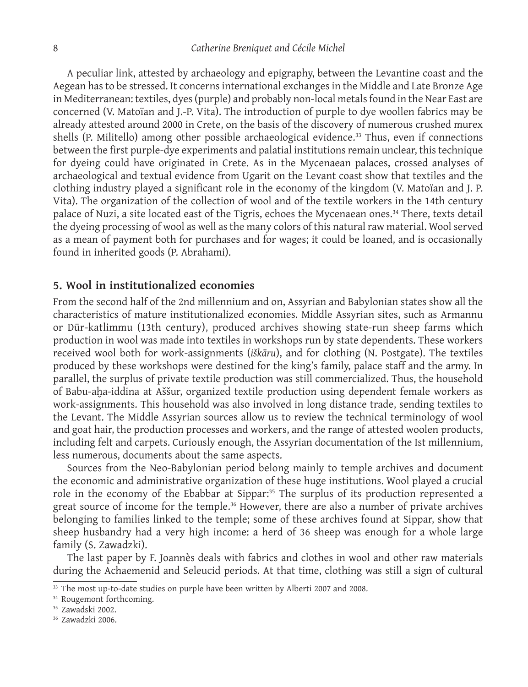A peculiar link, attested by archaeology and epigraphy, between the Levantine coast and the Aegean has to be stressed. It concerns international exchanges in the Middle and Late Bronze Age in Mediterranean: textiles, dyes (purple) and probably non-local metals found in the Near East are concerned (V. Matoïan and J.-P. Vita). The introduction of purple to dye woollen fabrics may be already attested around 2000 in Crete, on the basis of the discovery of numerous crushed murex shells (P. Militello) among other possible archaeological evidence.<sup>33</sup> Thus, even if connections between the first purple-dye experiments and palatial institutions remain unclear, this technique for dyeing could have originated in Crete. As in the Mycenaean palaces, crossed analyses of archaeological and textual evidence from Ugarit on the Levant coast show that textiles and the clothing industry played a significant role in the economy of the kingdom (V. Matoïan and J. P. Vita). The organization of the collection of wool and of the textile workers in the 14th century palace of Nuzi, a site located east of the Tigris, echoes the Mycenaean ones.<sup>34</sup> There, texts detail the dyeing processing of wool as well as the many colors of this natural raw material. Wool served as a mean of payment both for purchases and for wages; it could be loaned, and is occasionally found in inherited goods (P. Abrahami).

#### **5. Wool in institutionalized economies**

From the second half of the 2nd millennium and on, Assyrian and Babylonian states show all the characteristics of mature institutionalized economies. Middle Assyrian sites, such as Armannu or Dūr-katlimmu (13th century), produced archives showing state-run sheep farms which production in wool was made into textiles in workshops run by state dependents. These workers received wool both for work-assignments (*iškāru*), and for clothing (N. Postgate). The textiles produced by these workshops were destined for the king's family, palace staff and the army. In parallel, the surplus of private textile production was still commercialized. Thus, the household of Babu-aḫa-iddina at Aššur, organized textile production using dependent female workers as work-assignments. This household was also involved in long distance trade, sending textiles to the Levant. The Middle Assyrian sources allow us to review the technical terminology of wool and goat hair, the production processes and workers, and the range of attested woolen products, including felt and carpets. Curiously enough, the Assyrian documentation of the Ist millennium, less numerous, documents about the same aspects.

Sources from the Neo-Babylonian period belong mainly to temple archives and document the economic and administrative organization of these huge institutions. Wool played a crucial role in the economy of the Ebabbar at Sippar:35 The surplus of its production represented a great source of income for the temple.<sup>36</sup> However, there are also a number of private archives belonging to families linked to the temple; some of these archives found at Sippar, show that sheep husbandry had a very high income: a herd of 36 sheep was enough for a whole large family (S. Zawadzki).

The last paper by F. Joannès deals with fabrics and clothes in wool and other raw materials during the Achaemenid and Seleucid periods. At that time, clothing was still a sign of cultural

<sup>&</sup>lt;sup>33</sup> The most up-to-date studies on purple have been written by Alberti 2007 and 2008.

<sup>&</sup>lt;sup>34</sup> Rougemont forthcoming.

<sup>35</sup> Zawadski 2002.

<sup>36</sup> Zawadzki 2006.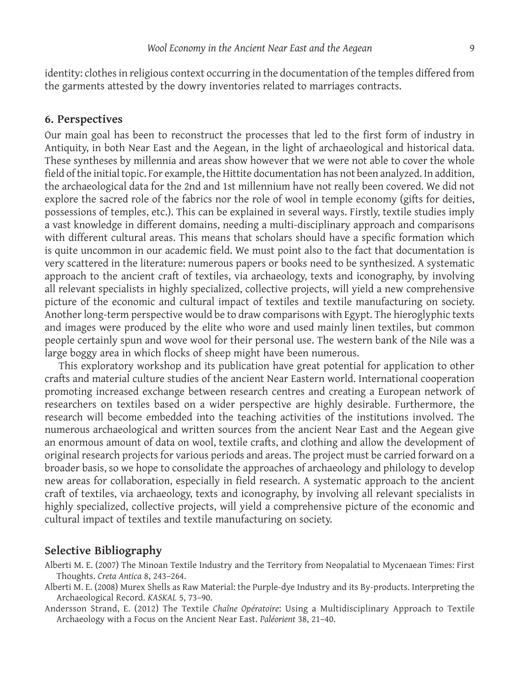identity: clothes in religious context occurring in the documentation of the temples differed from the garments attested by the dowry inventories related to marriages contracts.

#### **6. Perspectives**

Our main goal has been to reconstruct the processes that led to the first form of industry in Antiquity, in both Near East and the Aegean, in the light of archaeological and historical data. These syntheses by millennia and areas show however that we were not able to cover the whole field of the initial topic. For example, the Hittite documentation has not been analyzed. In addition, the archaeological data for the 2nd and 1st millennium have not really been covered. We did not explore the sacred role of the fabrics nor the role of wool in temple economy (gifts for deities, possessions of temples, etc.). This can be explained in several ways. Firstly, textile studies imply a vast knowledge in different domains, needing a multi-disciplinary approach and comparisons with different cultural areas. This means that scholars should have a specific formation which is quite uncommon in our academic field. We must point also to the fact that documentation is very scattered in the literature: numerous papers or books need to be synthesized. A systematic approach to the ancient craft of textiles, via archaeology, texts and iconography, by involving all relevant specialists in highly specialized, collective projects, will yield a new comprehensive picture of the economic and cultural impact of textiles and textile manufacturing on society. Another long-term perspective would be to draw comparisons with Egypt. The hieroglyphic texts and images were produced by the elite who wore and used mainly linen textiles, but common people certainly spun and wove wool for their personal use. The western bank of the Nile was a large boggy area in which flocks of sheep might have been numerous.

This exploratory workshop and its publication have great potential for application to other crafts and material culture studies of the ancient Near Eastern world. International cooperation promoting increased exchange between research centres and creating a European network of researchers on textiles based on a wider perspective are highly desirable. Furthermore, the research will become embedded into the teaching activities of the institutions involved. The numerous archaeological and written sources from the ancient Near East and the Aegean give an enormous amount of data on wool, textile crafts, and clothing and allow the development of original research projects for various periods and areas. The project must be carried forward on a broader basis, so we hope to consolidate the approaches of archaeology and philology to develop new areas for collaboration, especially in field research. A systematic approach to the ancient craft of textiles, via archaeology, texts and iconography, by involving all relevant specialists in highly specialized, collective projects, will yield a comprehensive picture of the economic and cultural impact of textiles and textile manufacturing on society.

#### **Selective Bibliography**

Alberti M. E. (2007) The Minoan Textile Industry and the Territory from Neopalatial to Mycenaean Times: First Thoughts. *Creta Antica* 8, 243–264.

Alberti M. E. (2008) Murex Shells as Raw Material: the Purple-dye Industry and its By-products. Interpreting the Archaeological Record. *KASKAL* 5, 73–90.

Andersson Strand, E. (2012) The Textile *Chaîne Opératoire*: Using a Multidisciplinary Approach to Textile Archaeology with a Focus on the Ancient Near East. *Paléorient* 38, 21–40.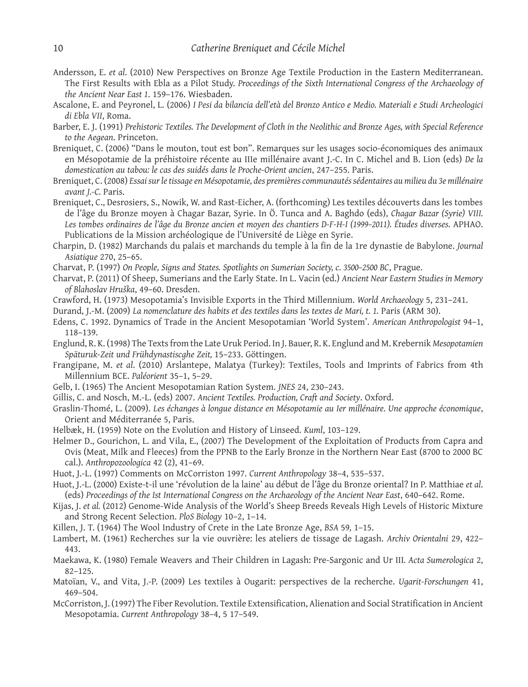- Andersson, E. *et al*. (2010) New Perspectives on Bronze Age Textile Production in the Eastern Mediterranean. The First Results with Ebla as a Pilot Study. *Proceedings of the Sixth International Congress of the Archaeology of the Ancient Near East 1*. 159–176. Wiesbaden.
- Ascalone, E. and Peyronel, L. (2006) *I Pesi da bilancia dell'età del Bronzo Antico e Medio. Materiali e Studi Archeologici di Ebla VII*, Roma.
- Barber, E. J. (1991) *Prehistoric Textiles. The Development of Cloth in the Neolithic and Bronze Ages, with Special Reference to the Aegean*. Princeton.
- Breniquet, C. (2006) "Dans le mouton, tout est bon". Remarques sur les usages socio-économiques des animaux en Mésopotamie de la préhistoire récente au IIIe millénaire avant J.-C. In C. Michel and B. Lion (eds) *De la domestication au tabou: le cas des suidés dans le Proche-Orient ancien*, 247–255. Paris.
- Breniquet, C. (2008) *Essai sur le tissage en Mésopotamie, des premières communautés sédentaires au milieu du 3e millénaire avant J.-C.* Paris.
- Breniquet, C., Desrosiers, S., Nowik, W. and Rast-Eicher, A. (forthcoming) Les textiles découverts dans les tombes de l'âge du Bronze moyen à Chagar Bazar, Syrie. In Ö. Tunca and A. Baghdo (eds), *Chagar Bazar (Syrie) VIII. Les tombes ordinaires de l'âge du Bronze ancien et moyen des chantiers D-F-H-I (1999–2011). Études diverses.* APHAO. Publications de la Mission archéologique de l'Université de Liège en Syrie.

Charpin, D. (1982) Marchands du palais et marchands du temple à la fin de la 1re dynastie de Babylone. *Journal Asiatique* 270, 25–65.

Charvat, P. (1997) *On People, Signs and States. Spotlights on Sumerian Society, c. 3500–2500 BC*, Prague.

- Charvat, P. (2011) Of Sheep, Sumerians and the Early State. In L. Vacin (ed.) *Ancient Near Eastern Studies in Memory of Blahoslav Hruška*, 49–60. Dresden.
- Crawford, H. (1973) Mesopotamia's Invisible Exports in the Third Millennium. *World Archaeology* 5, 231–241.

Durand, J.-M. (2009) *La nomenclature des habits et des textiles dans les textes de Mari, t. 1.* Paris (ARM 30).

- Edens, C. 1992. Dynamics of Trade in the Ancient Mesopotamian 'World System'. *American Anthropologist* 94–1, 118–139.
- Englund, R. K. (1998) The Texts from the Late Uruk Period. In J. Bauer, R. K. Englund and M. Krebernik *Mesopotamien Späturuk-Zeit und Frühdynastiscghe Zeit,* 15–233. Göttingen.
- Frangipane, M. *et al*. (2010) Arslantepe, Malatya (Turkey): Textiles, Tools and Imprints of Fabrics from 4th Millennium BCE. *Paléorient* 35–1, 5–29.
- Gelb, I. (1965) The Ancient Mesopotamian Ration System. *JNES* 24, 230–243.
- Gillis, C. and Nosch, M.-L. (eds) 2007. *Ancient Textiles. Production, Craft and Society*. Oxford.
- Graslin-Thomé, L. (2009). *Les échanges à longue distance en Mésopotamie au Ier millénaire. Une approche économique*, Orient and Méditerranée 5, Paris.
- Helbæk, H. (1959) Note on the Evolution and History of Linseed. *Kuml*, 103–129.
- Helmer D., Gourichon, L. and Vila, E., (2007) The Development of the Exploitation of Products from Capra and Ovis (Meat, Milk and Fleeces) from the PPNB to the Early Bronze in the Northern Near East (8700 to 2000 BC cal.). *Anthropozoologica* 42 (2), 41–69.
- Huot, J.-L. (1997) Comments on McCorriston 1997. *Current Anthropology* 38–4, 535–537.
- Huot, J.-L. (2000) Existe-t-il une 'révolution de la laine' au début de l'âge du Bronze oriental? In P. Matthiae *et al*. (eds) *Proceedings of the Ist International Congress on the Archaeology of the Ancient Near East*, 640–642. Rome.
- Kijas, J. *et al.* (2012) Genome-Wide Analysis of the World's Sheep Breeds Reveals High Levels of Historic Mixture and Strong Recent Selection. *PloS Biology* 10–2, 1–14.
- Killen, J. T. (1964) The Wool Industry of Crete in the Late Bronze Age, *BSA* 59*,* 1–15.
- Lambert, M. (1961) Recherches sur la vie ouvrière: les ateliers de tissage de Lagash. *Archiv Orientalni* 29, 422– 443.
- Maekawa, K. (1980) Female Weavers and Their Children in Lagash: Pre-Sargonic and Ur III*. Acta Sumerologica* 2, 82–125.
- Matoïan, V., and Vita, J.-P. (2009) Les textiles à Ougarit: perspectives de la recherche. *Ugarit-Forschungen* 41, 469–504.
- McCorriston, J. (1997) The Fiber Revolution. Textile Extensification, Alienation and Social Stratification in Ancient Mesopotamia. *Current Anthropology* 38–4, 5 17–549.